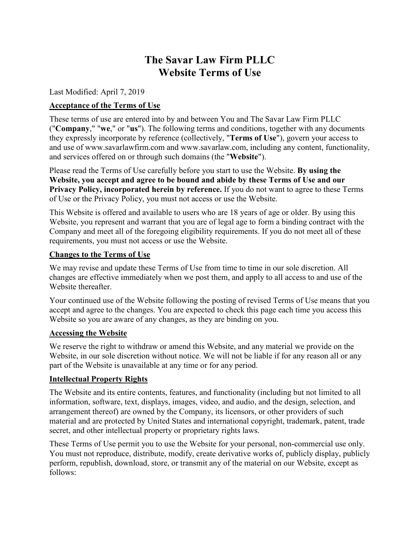# **The Savar Law Firm PLLC Website Terms of Use**

Last Modified: April 7, 2019

## **Acceptance of the Terms of Use**

These terms of use are entered into by and between You and The Savar Law Firm PLLC ("**Company**," "**we**," or "**us**"). The following terms and conditions, together with any documents they expressly incorporate by reference (collectively, "**Terms of Use**"), govern your access to and use of [www.savarlawfirm.com](http://www.savarlawfirm.com/) and www.savarlaw.com, including any content, functionality, and services offered on or through such domains (the "**Website**").

Please read the Terms of Use carefully before you start to use the Website. **By using the Website, you accept and agree to be bound and abide by these Terms of Use and our Privacy Policy, incorporated herein by reference.** If you do not want to agree to these Terms of Use or the Privacy Policy, you must not access or use the Website.

This Website is offered and available to users who are 18 years of age or older. By using this Website, you represent and warrant that you are of legal age to form a binding contract with the Company and meet all of the foregoing eligibility requirements. If you do not meet all of these requirements, you must not access or use the Website.

#### **Changes to the Terms of Use**

We may revise and update these Terms of Use from time to time in our sole discretion. All changes are effective immediately when we post them, and apply to all access to and use of the Website thereafter.

Your continued use of the Website following the posting of revised Terms of Use means that you accept and agree to the changes. You are expected to check this page each time you access this Website so you are aware of any changes, as they are binding on you.

### **Accessing the Website**

We reserve the right to withdraw or amend this Website, and any material we provide on the Website, in our sole discretion without notice. We will not be liable if for any reason all or any part of the Website is unavailable at any time or for any period.

### **Intellectual Property Rights**

The Website and its entire contents, features, and functionality (including but not limited to all information, software, text, displays, images, video, and audio, and the design, selection, and arrangement thereof) are owned by the Company, its licensors, or other providers of such material and are protected by United States and international copyright, trademark, patent, trade secret, and other intellectual property or proprietary rights laws.

These Terms of Use permit you to use the Website for your personal, non-commercial use only. You must not reproduce, distribute, modify, create derivative works of, publicly display, publicly perform, republish, download, store, or transmit any of the material on our Website, except as follows: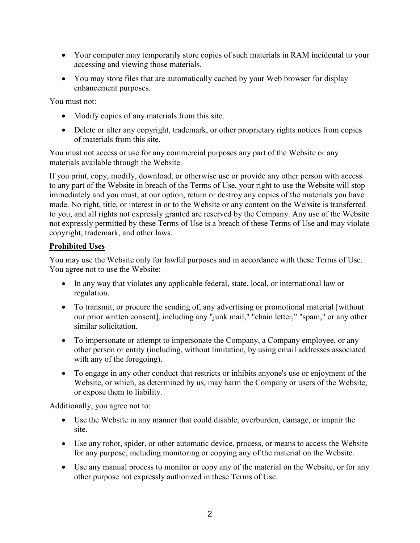- Your computer may temporarily store copies of such materials in RAM incidental to your accessing and viewing those materials.
- You may store files that are automatically cached by your Web browser for display enhancement purposes.

You must not:

- Modify copies of any materials from this site.
- Delete or alter any copyright, trademark, or other proprietary rights notices from copies of materials from this site.

You must not access or use for any commercial purposes any part of the Website or any materials available through the Website.

If you print, copy, modify, download, or otherwise use or provide any other person with access to any part of the Website in breach of the Terms of Use, your right to use the Website will stop immediately and you must, at our option, return or destroy any copies of the materials you have made. No right, title, or interest in or to the Website or any content on the Website is transferred to you, and all rights not expressly granted are reserved by the Company. Any use of the Website not expressly permitted by these Terms of Use is a breach of these Terms of Use and may violate copyright, trademark, and other laws.

## **Prohibited Uses**

You may use the Website only for lawful purposes and in accordance with these Terms of Use. You agree not to use the Website:

- In any way that violates any applicable federal, state, local, or international law or regulation.
- To transmit, or procure the sending of, any advertising or promotional material [without] our prior written consent], including any "junk mail," "chain letter," "spam," or any other similar solicitation.
- To impersonate or attempt to impersonate the Company, a Company employee, or any other person or entity (including, without limitation, by using email addresses associated with any of the foregoing).
- To engage in any other conduct that restricts or inhibits anyone's use or enjoyment of the Website, or which, as determined by us, may harm the Company or users of the Website, or expose them to liability.

Additionally, you agree not to:

- Use the Website in any manner that could disable, overburden, damage, or impair the site.
- Use any robot, spider, or other automatic device, process, or means to access the Website for any purpose, including monitoring or copying any of the material on the Website.
- Use any manual process to monitor or copy any of the material on the Website, or for any other purpose not expressly authorized in these Terms of Use.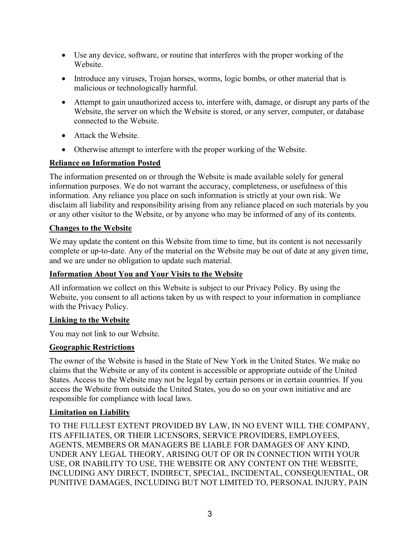- Use any device, software, or routine that interferes with the proper working of the Website.
- Introduce any viruses, Trojan horses, worms, logic bombs, or other material that is malicious or technologically harmful.
- Attempt to gain unauthorized access to, interfere with, damage, or disrupt any parts of the Website, the server on which the Website is stored, or any server, computer, or database connected to the Website.
- Attack the Website.
- Otherwise attempt to interfere with the proper working of the Website.

# **Reliance on Information Posted**

The information presented on or through the Website is made available solely for general information purposes. We do not warrant the accuracy, completeness, or usefulness of this information. Any reliance you place on such information is strictly at your own risk. We disclaim all liability and responsibility arising from any reliance placed on such materials by you or any other visitor to the Website, or by anyone who may be informed of any of its contents.

# **Changes to the Website**

We may update the content on this Website from time to time, but its content is not necessarily complete or up-to-date. Any of the material on the Website may be out of date at any given time, and we are under no obligation to update such material.

## **Information About You and Your Visits to the Website**

All information we collect on this Website is subject to our Privacy Policy. By using the Website, you consent to all actions taken by us with respect to your information in compliance with the Privacy Policy.

## **Linking to the Website**

You may not link to our Website.

# **Geographic Restrictions**

The owner of the Website is based in the State of New York in the United States. We make no claims that the Website or any of its content is accessible or appropriate outside of the United States. Access to the Website may not be legal by certain persons or in certain countries. If you access the Website from outside the United States, you do so on your own initiative and are responsible for compliance with local laws.

# **Limitation on Liability**

TO THE FULLEST EXTENT PROVIDED BY LAW, IN NO EVENT WILL THE COMPANY, ITS AFFILIATES, OR THEIR LICENSORS, SERVICE PROVIDERS, EMPLOYEES, AGENTS, MEMBERS OR MANAGERS BE LIABLE FOR DAMAGES OF ANY KIND, UNDER ANY LEGAL THEORY, ARISING OUT OF OR IN CONNECTION WITH YOUR USE, OR INABILITY TO USE, THE WEBSITE OR ANY CONTENT ON THE WEBSITE, INCLUDING ANY DIRECT, INDIRECT, SPECIAL, INCIDENTAL, CONSEQUENTIAL, OR PUNITIVE DAMAGES, INCLUDING BUT NOT LIMITED TO, PERSONAL INJURY, PAIN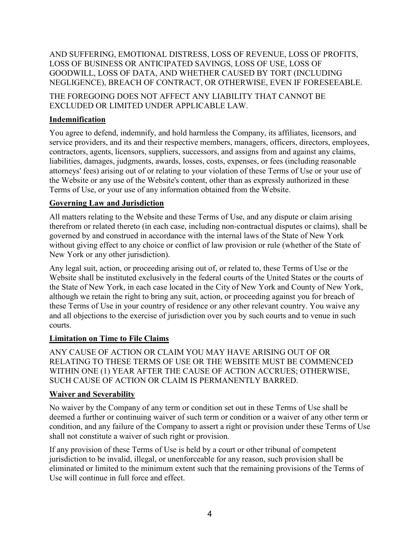AND SUFFERING, EMOTIONAL DISTRESS, LOSS OF REVENUE, LOSS OF PROFITS, LOSS OF BUSINESS OR ANTICIPATED SAVINGS, LOSS OF USE, LOSS OF GOODWILL, LOSS OF DATA, AND WHETHER CAUSED BY TORT (INCLUDING NEGLIGENCE), BREACH OF CONTRACT, OR OTHERWISE, EVEN IF FORESEEABLE.

THE FOREGOING DOES NOT AFFECT ANY LIABILITY THAT CANNOT BE EXCLUDED OR LIMITED UNDER APPLICABLE LAW.

## **Indemnification**

You agree to defend, indemnify, and hold harmless the Company, its affiliates, licensors, and service providers, and its and their respective members, managers, officers, directors, employees, contractors, agents, licensors, suppliers, successors, and assigns from and against any claims, liabilities, damages, judgments, awards, losses, costs, expenses, or fees (including reasonable attorneys' fees) arising out of or relating to your violation of these Terms of Use or your use of the Website or any use of the Website's content, other than as expressly authorized in these Terms of Use, or your use of any information obtained from the Website.

## **Governing Law and Jurisdiction**

All matters relating to the Website and these Terms of Use, and any dispute or claim arising therefrom or related thereto (in each case, including non-contractual disputes or claims), shall be governed by and construed in accordance with the internal laws of the State of New York without giving effect to any choice or conflict of law provision or rule (whether of the State of New York or any other jurisdiction).

Any legal suit, action, or proceeding arising out of, or related to, these Terms of Use or the Website shall be instituted exclusively in the federal courts of the United States or the courts of the State of New York, in each case located in the City of New York and County of New York, although we retain the right to bring any suit, action, or proceeding against you for breach of these Terms of Use in your country of residence or any other relevant country. You waive any and all objections to the exercise of jurisdiction over you by such courts and to venue in such courts.

### **Limitation on Time to File Claims**

ANY CAUSE OF ACTION OR CLAIM YOU MAY HAVE ARISING OUT OF OR RELATING TO THESE TERMS OF USE OR THE WEBSITE MUST BE COMMENCED WITHIN ONE (1) YEAR AFTER THE CAUSE OF ACTION ACCRUES; OTHERWISE, SUCH CAUSE OF ACTION OR CLAIM IS PERMANENTLY BARRED.

### **Waiver and Severability**

No waiver by the Company of any term or condition set out in these Terms of Use shall be deemed a further or continuing waiver of such term or condition or a waiver of any other term or condition, and any failure of the Company to assert a right or provision under these Terms of Use shall not constitute a waiver of such right or provision.

If any provision of these Terms of Use is held by a court or other tribunal of competent jurisdiction to be invalid, illegal, or unenforceable for any reason, such provision shall be eliminated or limited to the minimum extent such that the remaining provisions of the Terms of Use will continue in full force and effect.